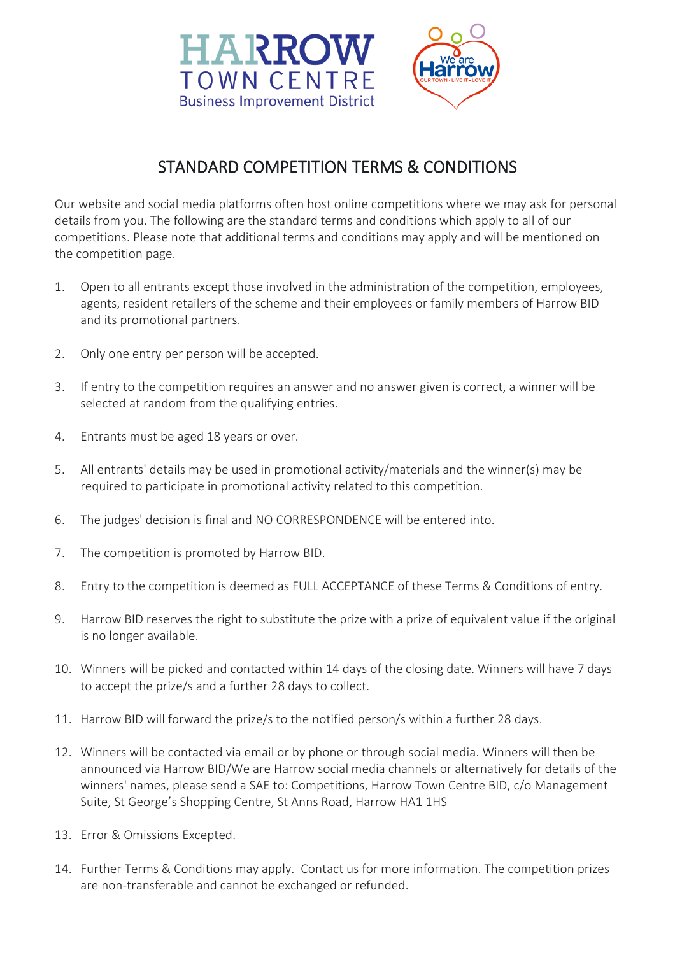

## STANDARD COMPETITION TERMS & CONDITIONS

Our website and social media platforms often host online competitions where we may ask for personal details from you. The following are the standard terms and conditions which apply to all of our competitions. Please note that additional terms and conditions may apply and will be mentioned on the competition page.

- 1. Open to all entrants except those involved in the administration of the competition, employees, agents, resident retailers of the scheme and their employees or family members of Harrow BID and its promotional partners.
- 2. Only one entry per person will be accepted.
- 3. If entry to the competition requires an answer and no answer given is correct, a winner will be selected at random from the qualifying entries.
- 4. Entrants must be aged 18 years or over.
- 5. All entrants' details may be used in promotional activity/materials and the winner(s) may be required to participate in promotional activity related to this competition.
- 6. The judges' decision is final and NO CORRESPONDENCE will be entered into.
- 7. The competition is promoted by Harrow BID.
- 8. Entry to the competition is deemed as FULL ACCEPTANCE of these Terms & Conditions of entry.
- 9. Harrow BID reserves the right to substitute the prize with a prize of equivalent value if the original is no longer available.
- 10. Winners will be picked and contacted within 14 days of the closing date. Winners will have 7 days to accept the prize/s and a further 28 days to collect.
- 11. Harrow BID will forward the prize/s to the notified person/s within a further 28 days.
- 12. Winners will be contacted via email or by phone or through social media. Winners will then be announced via Harrow BID/We are Harrow social media channels or alternatively for details of the winners' names, please send a SAE to: Competitions, Harrow Town Centre BID, c/o Management Suite, St George's Shopping Centre, St Anns Road, Harrow HA1 1HS
- 13. Error & Omissions Excepted.
- 14. Further Terms & Conditions may apply. Contact us for more information. The competition prizes are non-transferable and cannot be exchanged or refunded.